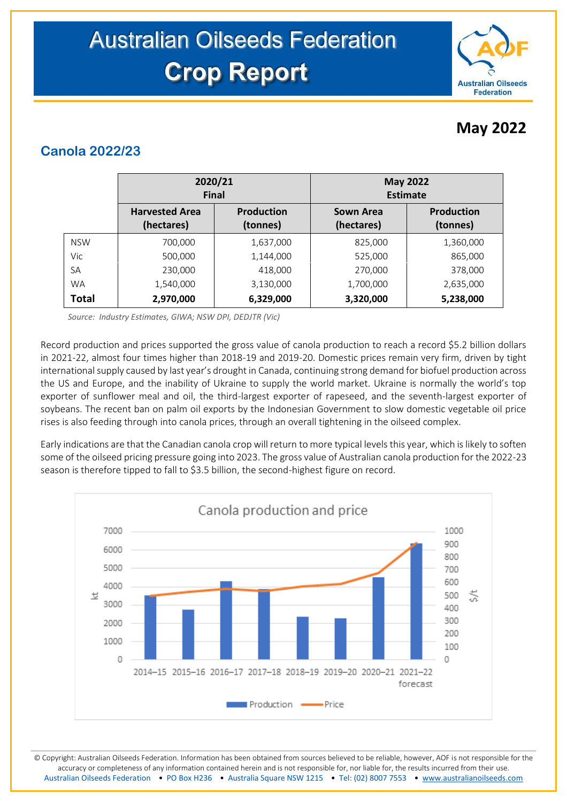# **Australian Oilseeds Federation Crop Report**



## **May 2022**

### **Canola 2022/23**

|              | 2020/21<br><b>Final</b>             |                               | <b>May 2022</b><br><b>Estimate</b> |                               |
|--------------|-------------------------------------|-------------------------------|------------------------------------|-------------------------------|
|              | <b>Harvested Area</b><br>(hectares) | <b>Production</b><br>(tonnes) | <b>Sown Area</b><br>(hectares)     | <b>Production</b><br>(tonnes) |
| <b>NSW</b>   | 700,000                             | 1,637,000                     | 825,000                            | 1,360,000                     |
| Vic          | 500,000                             | 1,144,000                     | 525,000                            | 865,000                       |
| <b>SA</b>    | 230,000                             | 418,000                       | 270,000                            | 378,000                       |
| <b>WA</b>    | 1,540,000                           | 3,130,000                     | 1,700,000                          | 2,635,000                     |
| <b>Total</b> | 2,970,000                           | 6,329,000                     | 3,320,000                          | 5,238,000                     |

*Source: Industry Estimates, GIWA; NSW DPI, DEDJTR (Vic)*

Record production and prices supported the gross value of canola production to reach a record \$5.2 billion dollars in 2021-22, almost four times higher than 2018-19 and 2019-20. Domestic prices remain very firm, driven by tight international supply caused by last year's drought in Canada, continuing strong demand for biofuel production across the US and Europe, and the inability of Ukraine to supply the world market. Ukraine is normally the world's top exporter of sunflower meal and oil, the third-largest exporter of rapeseed, and the seventh-largest exporter of soybeans. The recent ban on palm oil exports by the Indonesian Government to slow domestic vegetable oil price rises is also feeding through into canola prices, through an overall tightening in the oilseed complex.

Early indications are that the Canadian canola crop will return to more typical levels this year, which is likely to soften some of the oilseed pricing pressure going into 2023. The gross value of Australian canola production for the 2022-23 season is therefore tipped to fall to \$3.5 billion, the second-highest figure on record.



© Copyright: Australian Oilseeds Federation. Information has been obtained from sources believed to be reliable, however, AOF is not responsible for the accuracy or completeness of any information contained herein and is not responsible for, nor liable for, the results incurred from their use. Australian Oilseeds Federation • PO Box H236 • Australia Square NSW 1215 • Tel: (02) 8007 7553 • [www.australianoilseeds.com](http://www.australianoilseeds.com/)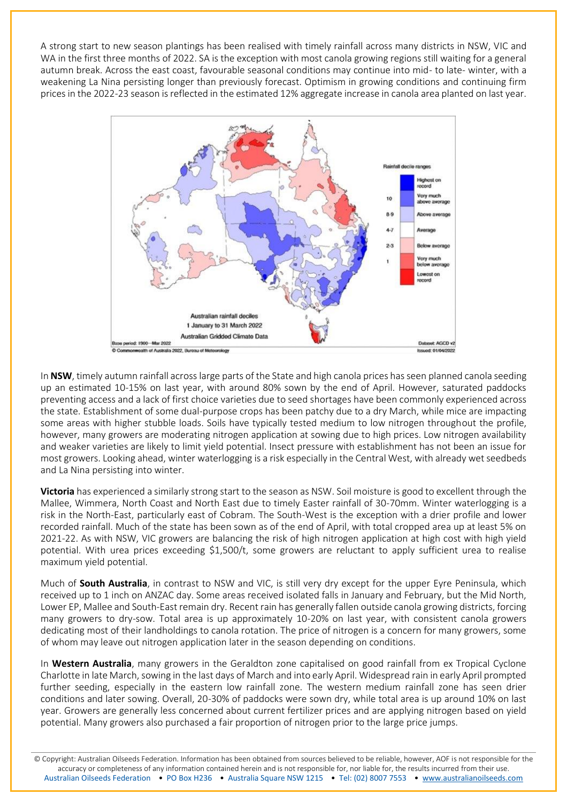A strong start to new season plantings has been realised with timely rainfall across many districts in NSW, VIC and WA in the first three months of 2022. SA is the exception with most canola growing regions still waiting for a general autumn break. Across the east coast, favourable seasonal conditions may continue into mid- to late- winter, with a weakening La Nina persisting longer than previously forecast. Optimism in growing conditions and continuing firm prices in the 2022-23 season is reflected in the estimated 12% aggregate increase in canola area planted on last year.



In **NSW**, timely autumn rainfall across large parts of the State and high canola prices has seen planned canola seeding up an estimated 10-15% on last year, with around 80% sown by the end of April. However, saturated paddocks preventing access and a lack of first choice varieties due to seed shortages have been commonly experienced across the state. Establishment of some dual-purpose crops has been patchy due to a dry March, while mice are impacting some areas with higher stubble loads. Soils have typically tested medium to low nitrogen throughout the profile, however, many growers are moderating nitrogen application at sowing due to high prices. Low nitrogen availability and weaker varieties are likely to limit yield potential. Insect pressure with establishment has not been an issue for most growers. Looking ahead, winter waterlogging is a risk especially in the Central West, with already wet seedbeds and La Nina persisting into winter.

**Victoria** has experienced a similarly strong start to the season as NSW. Soil moisture is good to excellent through the Mallee, Wimmera, North Coast and North East due to timely Easter rainfall of 30-70mm. Winter waterlogging is a risk in the North-East, particularly east of Cobram. The South-West is the exception with a drier profile and lower recorded rainfall. Much of the state has been sown as of the end of April, with total cropped area up at least 5% on 2021-22. As with NSW, VIC growers are balancing the risk of high nitrogen application at high cost with high yield potential. With urea prices exceeding \$1,500/t, some growers are reluctant to apply sufficient urea to realise maximum yield potential.

Much of **South Australia**, in contrast to NSW and VIC, is still very dry except for the upper Eyre Peninsula, which received up to 1 inch on ANZAC day. Some areas received isolated falls in January and February, but the Mid North, Lower EP, Mallee and South-East remain dry. Recent rain has generally fallen outside canola growing districts, forcing many growers to dry-sow. Total area is up approximately 10-20% on last year, with consistent canola growers dedicating most of their landholdings to canola rotation. The price of nitrogen is a concern for many growers, some of whom may leave out nitrogen application later in the season depending on conditions.

In **Western Australia**, many growers in the Geraldton zone capitalised on good rainfall from ex Tropical Cyclone Charlotte in late March, sowing in the last days of March and into early April. Widespread rain in early April prompted further seeding, especially in the eastern low rainfall zone. The western medium rainfall zone has seen drier conditions and later sowing. Overall, 20-30% of paddocks were sown dry, while total area is up around 10% on last year. Growers are generally less concerned about current fertilizer prices and are applying nitrogen based on yield potential. Many growers also purchased a fair proportion of nitrogen prior to the large price jumps.

© Copyright: Australian Oilseeds Federation. Information has been obtained from sources believed to be reliable, however, AOF is not responsible for the accuracy or completeness of any information contained herein and is not responsible for, nor liable for, the results incurred from their use. Australian Oilseeds Federation • PO Box H236 • Australia Square NSW 1215 • Tel: (02) 8007 7553 • [www.australianoilseeds.com](http://www.australianoilseeds.com/)